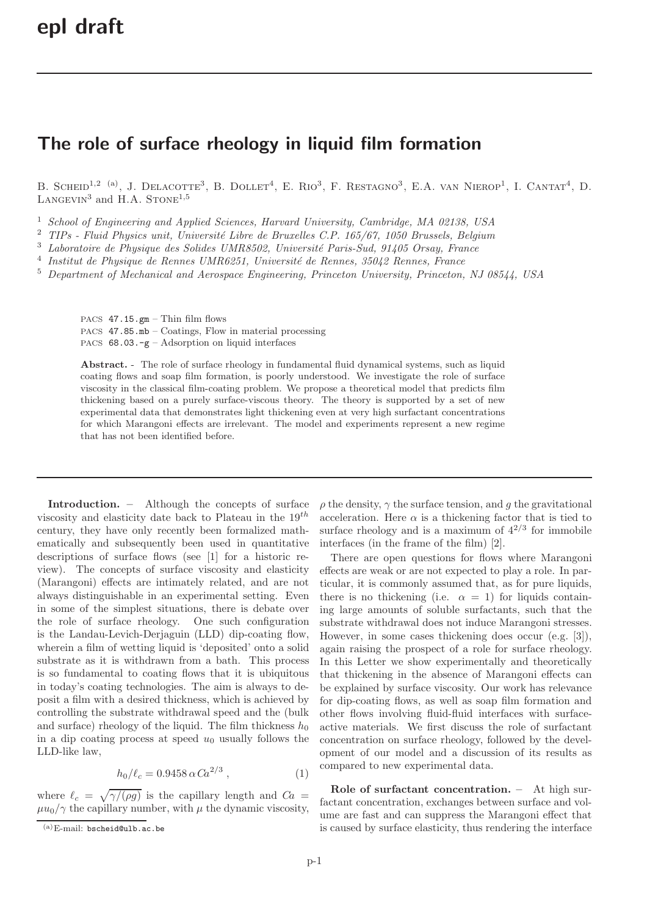## The role of surface rheology in liquid film formation

B. SCHEID<sup>1,2 (a)</sup>, J. DELACOTTE<sup>3</sup>, B. DOLLET<sup>4</sup>, E. RIO<sup>3</sup>, F. RESTAGNO<sup>3</sup>, E.A. VAN NIEROP<sup>1</sup>, I. CANTAT<sup>4</sup>, D. LANGEVIN<sup>3</sup> and H.A. STONE<sup>1,5</sup>

<sup>1</sup> School of Engineering and Applied Sciences, Harvard University, Cambridge, MA 02138, USA

<sup>2</sup> TIPs - Fluid Physics unit, Université Libre de Bruxelles C.P. 165/67, 1050 Brussels, Belgium

 $3$  Laboratoire de Physique des Solides UMR8502, Université Paris-Sud, 91405 Orsay, France

 $4$  Institut de Physique de Rennes UMR6251, Université de Rennes, 35042 Rennes, France

<sup>5</sup> Department of Mechanical and Aerospace Engineering, Princeton University, Princeton, NJ 08544, USA

PACS 47.15.gm – Thin film flows PACS 47.85.mb – Coatings, Flow in material processing PACS  $68.03.-g - Adsorption$  on liquid interfaces

Abstract. - The role of surface rheology in fundamental fluid dynamical systems, such as liquid coating flows and soap film formation, is poorly understood. We investigate the role of surface viscosity in the classical film-coating problem. We propose a theoretical model that predicts film thickening based on a purely surface-viscous theory. The theory is supported by a set of new experimental data that demonstrates light thickening even at very high surfactant concentrations for which Marangoni effects are irrelevant. The model and experiments represent a new regime that has not been identified before.

Introduction. – Although the concepts of surface viscosity and elasticity date back to Plateau in the  $19^{th}$ century, they have only recently been formalized mathematically and subsequently been used in quantitative descriptions of surface flows (see [1] for a historic review). The concepts of surface viscosity and elasticity (Marangoni) effects are intimately related, and are not always distinguishable in an experimental setting. Even in some of the simplest situations, there is debate over the role of surface rheology. One such configuration is the Landau-Levich-Derjaguin (LLD) dip-coating flow, wherein a film of wetting liquid is 'deposited' onto a solid substrate as it is withdrawn from a bath. This process is so fundamental to coating flows that it is ubiquitous in today's coating technologies. The aim is always to deposit a film with a desired thickness, which is achieved by controlling the substrate withdrawal speed and the (bulk and surface) rheology of the liquid. The film thickness  $h_0$ in a dip coating process at speed  $u_0$  usually follows the LLD-like law,

$$
h_0/\ell_c = 0.9458 \,\alpha \, Ca^{2/3} \,, \tag{1}
$$

where  $\ell_c = \sqrt{\gamma/(\rho g)}$  is the capillary length and  $Ca =$  $\mu u_0/\gamma$  the capillary number, with  $\mu$  the dynamic viscosity,  $\rho$  the density,  $\gamma$  the surface tension, and g the gravitational acceleration. Here  $\alpha$  is a thickening factor that is tied to surface rheology and is a maximum of  $4^{2/3}$  for immobile interfaces (in the frame of the film) [2].

There are open questions for flows where Marangoni effects are weak or are not expected to play a role. In particular, it is commonly assumed that, as for pure liquids, there is no thickening (i.e.  $\alpha = 1$ ) for liquids containing large amounts of soluble surfactants, such that the substrate withdrawal does not induce Marangoni stresses. However, in some cases thickening does occur (e.g. [3]), again raising the prospect of a role for surface rheology. In this Letter we show experimentally and theoretically that thickening in the absence of Marangoni effects can be explained by surface viscosity. Our work has relevance for dip-coating flows, as well as soap film formation and other flows involving fluid-fluid interfaces with surfaceactive materials. We first discuss the role of surfactant concentration on surface rheology, followed by the development of our model and a discussion of its results as compared to new experimental data.

Role of surfactant concentration. - At high surfactant concentration, exchanges between surface and volume are fast and can suppress the Marangoni effect that is caused by surface elasticity, thus rendering the interface

 $(a)$ E-mail: bscheid@ulb.ac.be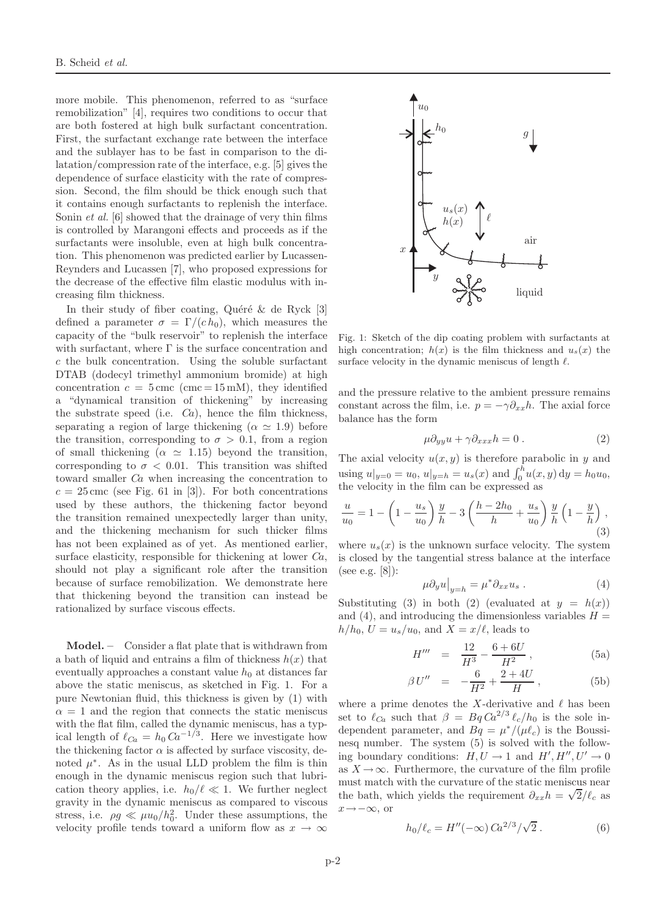more mobile. This phenomenon, referred to as "surface remobilization" [4], requires two conditions to occur that are both fostered at high bulk surfactant concentration. First, the surfactant exchange rate between the interface and the sublayer has to be fast in comparison to the dilatation/compression rate of the interface, e.g. [5] gives the dependence of surface elasticity with the rate of compression. Second, the film should be thick enough such that it contains enough surfactants to replenish the interface. Sonin *et al.* [6] showed that the drainage of very thin films is controlled by Marangoni effects and proceeds as if the surfactants were insoluble, even at high bulk concentration. This phenomenon was predicted earlier by Lucassen-Reynders and Lucassen [7], who proposed expressions for the decrease of the effective film elastic modulus with increasing film thickness.

In their study of fiber coating, Quéré  $\&$  de Ryck [3] defined a parameter  $\sigma = \Gamma/(c h_0)$ , which measures the capacity of the "bulk reservoir" to replenish the interface with surfactant, where  $\Gamma$  is the surface concentration and c the bulk concentration. Using the soluble surfactant DTAB (dodecyl trimethyl ammonium bromide) at high concentration  $c = 5 \text{ cm}c \text{ (cm}c = 15 \text{ mM})$ , they identified a "dynamical transition of thickening" by increasing the substrate speed (i.e.  $Ca$ ), hence the film thickness, separating a region of large thickening ( $\alpha \simeq 1.9$ ) before the transition, corresponding to  $\sigma > 0.1$ , from a region of small thickening ( $\alpha \approx 1.15$ ) beyond the transition, corresponding to  $\sigma$  < 0.01. This transition was shifted toward smaller Ca when increasing the concentration to  $c = 25$  cmc (see Fig. 61 in [3]). For both concentrations used by these authors, the thickening factor beyond the transition remained unexpectedly larger than unity, and the thickening mechanism for such thicker films has not been explained as of yet. As mentioned earlier, surface elasticity, responsible for thickening at lower  $Ca$ , should not play a significant role after the transition because of surface remobilization. We demonstrate here that thickening beyond the transition can instead be rationalized by surface viscous effects.

Model. – Consider a flat plate that is withdrawn from a bath of liquid and entrains a film of thickness  $h(x)$  that eventually approaches a constant value  $h_0$  at distances far above the static meniscus, as sketched in Fig. 1. For a pure Newtonian fluid, this thickness is given by (1) with  $\alpha = 1$  and the region that connects the static meniscus with the flat film, called the dynamic meniscus, has a typical length of  $\ell_{Ca} = h_0 \, Ca^{-1/3}$ . Here we investigate how the thickening factor  $\alpha$  is affected by surface viscosity, denoted  $\mu^*$ . As in the usual LLD problem the film is thin enough in the dynamic meniscus region such that lubrication theory applies, i.e.  $h_0/\ell \ll 1$ . We further neglect gravity in the dynamic meniscus as compared to viscous stress, i.e.  $\rho g \ll \mu u_0/h_0^2$ . Under these assumptions, the velocity profile tends toward a uniform flow as  $x \to \infty$ 



Fig. 1: Sketch of the dip coating problem with surfactants at high concentration;  $h(x)$  is the film thickness and  $u_s(x)$  the surface velocity in the dynamic meniscus of length  $\ell$ .

and the pressure relative to the ambient pressure remains constant across the film, i.e.  $p = -\gamma \partial_{xx}h$ . The axial force balance has the form

$$
\mu \partial_{yy} u + \gamma \partial_{xxx} h = 0 \,. \tag{2}
$$

The axial velocity  $u(x, y)$  is therefore parabolic in y and using  $u|_{y=0} = u_0$ ,  $u|_{y=h} = u_s(x)$  and  $\int_0^h u(x, y) dy = h_0 u_0$ , the velocity in the film can be expressed as

$$
\frac{u}{u_0} = 1 - \left(1 - \frac{u_s}{u_0}\right) \frac{y}{h} - 3\left(\frac{h - 2h_0}{h} + \frac{u_s}{u_0}\right) \frac{y}{h} \left(1 - \frac{y}{h}\right),\tag{3}
$$

where  $u_s(x)$  is the unknown surface velocity. The system is closed by the tangential stress balance at the interface (see e.g. [8]):

$$
\mu \partial_y u \big|_{y=h} = \mu^* \partial_{xx} u_s . \tag{4}
$$

Substituting (3) in both (2) (evaluated at  $y = h(x)$ ) and (4), and introducing the dimensionless variables  $H =$  $h/h_0, U = u_s/u_0$ , and  $X = x/\ell$ , leads to

$$
H''' = \frac{12}{H^3} - \frac{6 + 6U}{H^2} , \qquad (5a)
$$

$$
\beta U'' = -\frac{6}{H^2} + \frac{2+4U}{H} , \qquad (5b)
$$

where a prime denotes the X-derivative and  $\ell$  has been set to  $\ell_{Ca}$  such that  $\beta = Bq Ca^{2/3} \ell_c/h_0$  is the sole independent parameter, and  $Bq = \mu^*/(\mu \ell_c)$  is the Boussinesq number. The system (5) is solved with the following boundary conditions:  $H, U \rightarrow 1$  and  $H', H'', U' \rightarrow 0$ as  $X \to \infty$ . Furthermore, the curvature of the film profile must match with the curvature of the static meniscus near the bath, which yields the requirement  $\partial_{xx}h = \sqrt{2}/\ell_c$  as  $x \rightarrow -\infty$ , or

$$
h_0/\ell_c = H''(-\infty) C a^{2/3} / \sqrt{2} . \tag{6}
$$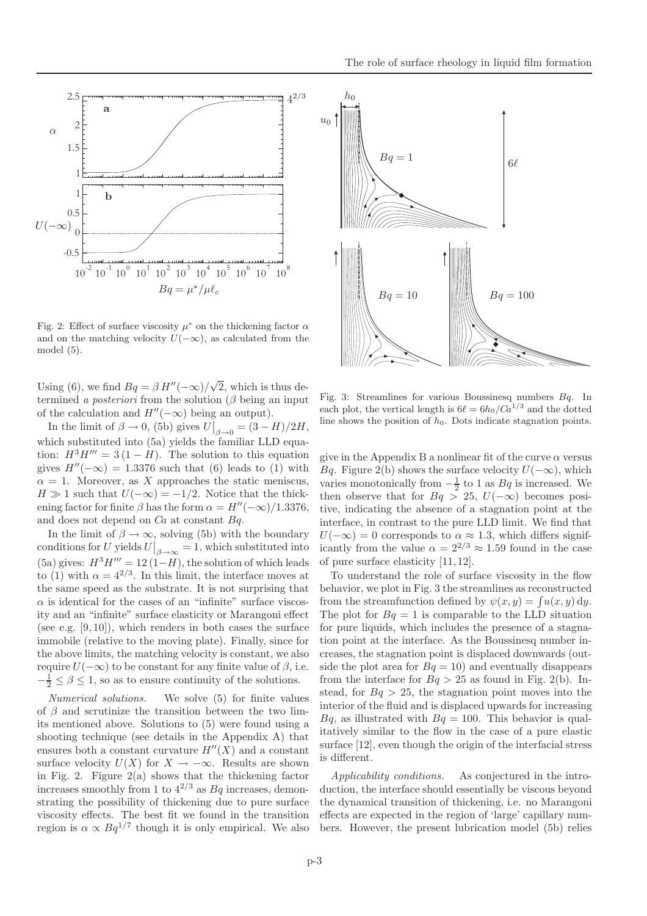

Fig. 2: Effect of surface viscosity  $\mu^*$  on the thickening factor  $\alpha$ and on the matching velocity  $U(-\infty)$ , as calculated from the model (5).

Using (6), we find  $Bq = \beta H''(-\infty)/\sqrt{2}$ , which is thus determined a *posteriori* from the solution  $(\beta$  being an input of the calculation and  $H''(-\infty)$  being an output).

In the limit of  $\beta \to 0$ , (5b) gives  $U\big|_{\beta \to 0} = (3 - H)/2H$ , which substituted into (5a) yields the familiar LLD equation:  $H^3H''' = 3(1 - H)$ . The solution to this equation gives  $H''(-\infty) = 1.3376$  such that (6) leads to (1) with  $\alpha = 1$ . Moreover, as X approaches the static meniscus,  $H \gg 1$  such that  $U(-\infty) = -1/2$ . Notice that the thickening factor for finite  $\beta$  has the form  $\alpha = H''(-\infty)/1.3376$ , and does not depend on  $Ca$  at constant  $Bq$ .

In the limit of  $\beta \to \infty$ , solving (5b) with the boundary conditions for U yields  $U|_{\beta \to \infty} = 1$ , which substituted into (5a) gives:  $H^3H''' = 12(1-H)$ , the solution of which leads to (1) with  $\alpha = 4^{2/3}$ . In this limit, the interface moves at the same speed as the substrate. It is not surprising that  $\alpha$  is identical for the cases of an "infinite" surface viscosity and an "infinite" surface elasticity or Marangoni effect (see e.g.  $[9, 10]$ ), which renders in both cases the surface immobile (relative to the moving plate). Finally, since for the above limits, the matching velocity is constant, we also require  $U(-\infty)$  to be constant for any finite value of  $\beta$ , i.e.  $-\frac{1}{2} \leq \beta \leq 1$ , so as to ensure continuity of the solutions.

Numerical solutions. We solve (5) for finite values of  $\beta$  and scrutinize the transition between the two limits mentioned above. Solutions to (5) were found using a shooting technique (see details in the Appendix A) that ensures both a constant curvature  $H''(X)$  and a constant surface velocity  $U(X)$  for  $X \to -\infty$ . Results are shown in Fig. 2. Figure  $2(a)$  shows that the thickening factor increases smoothly from 1 to  $4^{2/3}$  as  $Bq$  increases, demonstrating the possibility of thickening due to pure surface viscosity effects. The best fit we found in the transition region is  $\alpha \propto Bq^{1/7}$  though it is only empirical. We also



Fig. 3: Streamlines for various Boussinesq numbers  $Bq$ . In each plot, the vertical length is  $6\ell = 6h_0/Ca^{1/3}$  and the dotted line shows the position of  $h_0$ . Dots indicate stagnation points.

give in the Appendix B a nonlinear fit of the curve  $\alpha$  versus Bq. Figure 2(b) shows the surface velocity  $U(-\infty)$ , which varies monotonically from  $-\frac{1}{2}$  to 1 as  $Bq$  is increased. We then observe that for  $Bq > 25$ ,  $U(-\infty)$  becomes positive, indicating the absence of a stagnation point at the interface, in contrast to the pure LLD limit. We find that  $U(-\infty) = 0$  corresponds to  $\alpha \approx 1.3$ , which differs significantly from the value  $\alpha = 2^{2/3} \approx 1.59$  found in the case of pure surface elasticity [11, 12].

To understand the role of surface viscosity in the flow behavior, we plot in Fig. 3 the streamlines as reconstructed from the streamfunction defined by  $\psi(x, y) = \int u(x, y) \, dy$ . The plot for  $Bq = 1$  is comparable to the LLD situation for pure liquids, which includes the presence of a stagnation point at the interface. As the Boussinesq number increases, the stagnation point is displaced downwards (outside the plot area for  $Bq = 10$ ) and eventually disappears from the interface for  $Bq > 25$  as found in Fig. 2(b). Instead, for  $Bq > 25$ , the stagnation point moves into the interior of the fluid and is displaced upwards for increasing  $Bq$ , as illustrated with  $Bq = 100$ . This behavior is qualitatively similar to the flow in the case of a pure elastic surface [12], even though the origin of the interfacial stress is different.

Applicability conditions. As conjectured in the introduction, the interface should essentially be viscous beyond the dynamical transition of thickening, i.e. no Marangoni effects are expected in the region of 'large' capillary numbers. However, the present lubrication model (5b) relies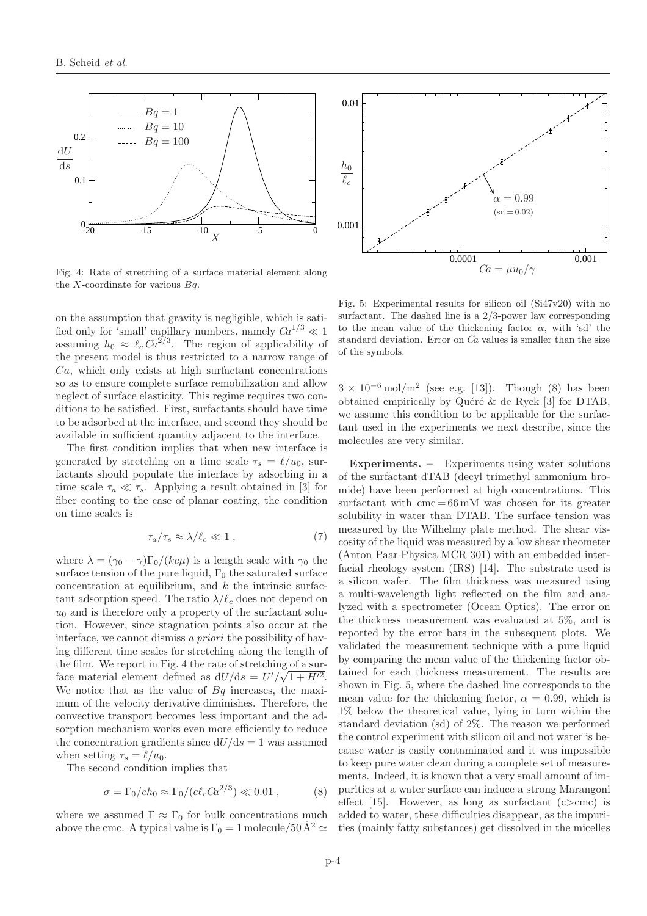

Fig. 4: Rate of stretching of a surface material element along the X-coordinate for various  $Bq$ .

on the assumption that gravity is negligible, which is satified only for 'small' capillary numbers, namely  $Ca^{1/3} \ll 1$ assuming  $h_0 \approx \ell_c \, Ca^{2/3}$ . The region of applicability of the present model is thus restricted to a narrow range of  $Ca$ , which only exists at high surfactant concentrations so as to ensure complete surface remobilization and allow neglect of surface elasticity. This regime requires two conditions to be satisfied. First, surfactants should have time to be adsorbed at the interface, and second they should be available in sufficient quantity adjacent to the interface.

The first condition implies that when new interface is generated by stretching on a time scale  $\tau_s = \ell/u_0$ , surfactants should populate the interface by adsorbing in a time scale  $\tau_a \ll \tau_s$ . Applying a result obtained in [3] for fiber coating to the case of planar coating, the condition on time scales is

$$
\tau_a/\tau_s \approx \lambda/\ell_c \ll 1 \;, \tag{7}
$$

where  $\lambda = (\gamma_0 - \gamma)\Gamma_0/(kc\mu)$  is a length scale with  $\gamma_0$  the surface tension of the pure liquid,  $\Gamma_0$  the saturated surface concentration at equilibrium, and  $k$  the intrinsic surfactant adsorption speed. The ratio  $\lambda/\ell_c$  does not depend on  $u_0$  and is therefore only a property of the surfactant solution. However, since stagnation points also occur at the interface, we cannot dismiss a priori the possibility of having different time scales for stretching along the length of the film. We report in Fig. 4 the rate of stretching of a surface material element defined as  $dU/ds = U'/\sqrt{1 + H'^2}$ . We notice that as the value of  $Bq$  increases, the maximum of the velocity derivative diminishes. Therefore, the convective transport becomes less important and the adsorption mechanism works even more efficiently to reduce the concentration gradients since  $dU/ds = 1$  was assumed when setting  $\tau_s = \ell/u_0$ .

The second condition implies that

$$
\sigma = \Gamma_0 / ch_0 \approx \Gamma_0 / (c \ell_c C a^{2/3}) \ll 0.01 , \qquad (8)
$$

where we assumed  $\Gamma \approx \Gamma_0$  for bulk concentrations much above the cmc. A typical value is  $\Gamma_0 = 1$  molecule/50 Å<sup>2</sup>  $\simeq$ 



Fig. 5: Experimental results for silicon oil (Si47v20) with no surfactant. The dashed line is a 2/3-power law corresponding to the mean value of the thickening factor  $\alpha$ , with 'sd' the standard deviation. Error on  $Ca$  values is smaller than the size of the symbols.

 $3 \times 10^{-6}$  mol/m<sup>2</sup> (see e.g. [13]). Though (8) has been obtained empirically by Quéré  $\&$  de Ryck [3] for DTAB, we assume this condition to be applicable for the surfactant used in the experiments we next describe, since the molecules are very similar.

Experiments. – Experiments using water solutions of the surfactant dTAB (decyl trimethyl ammonium bromide) have been performed at high concentrations. This surfactant with  $\text{cm} = 66 \text{ mM}$  was chosen for its greater solubility in water than DTAB. The surface tension was measured by the Wilhelmy plate method. The shear viscosity of the liquid was measured by a low shear rheometer (Anton Paar Physica MCR 301) with an embedded interfacial rheology system (IRS) [14]. The substrate used is a silicon wafer. The film thickness was measured using a multi-wavelength light reflected on the film and analyzed with a spectrometer (Ocean Optics). The error on the thickness measurement was evaluated at 5%, and is reported by the error bars in the subsequent plots. We validated the measurement technique with a pure liquid by comparing the mean value of the thickening factor obtained for each thickness measurement. The results are shown in Fig. 5, where the dashed line corresponds to the mean value for the thickening factor,  $\alpha = 0.99$ , which is 1% below the theoretical value, lying in turn within the standard deviation (sd) of 2%. The reason we performed the control experiment with silicon oil and not water is because water is easily contaminated and it was impossible to keep pure water clean during a complete set of measurements. Indeed, it is known that a very small amount of impurities at a water surface can induce a strong Marangoni effect [15]. However, as long as surfactant  $(c > cmc)$  is added to water, these difficulties disappear, as the impurities (mainly fatty substances) get dissolved in the micelles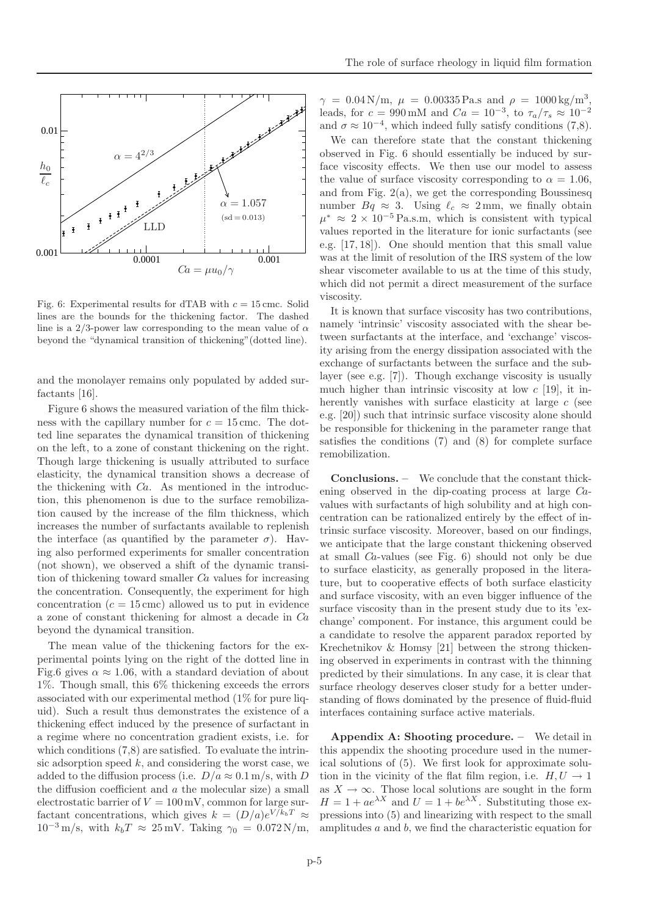Fig. 6: Experimental results for dTAB with  $c = 15$  cmc. Solid lines are the bounds for the thickening factor. The dashed line is a 2/3-power law corresponding to the mean value of  $\alpha$ beyond the "dynamical transition of thickening"(dotted line).

and the monolayer remains only populated by added surfactants [16].

Figure 6 shows the measured variation of the film thickness with the capillary number for  $c = 15$  cmc. The dotted line separates the dynamical transition of thickening on the left, to a zone of constant thickening on the right. Though large thickening is usually attributed to surface elasticity, the dynamical transition shows a decrease of the thickening with Ca. As mentioned in the introduction, this phenomenon is due to the surface remobilization caused by the increase of the film thickness, which increases the number of surfactants available to replenish the interface (as quantified by the parameter  $\sigma$ ). Having also performed experiments for smaller concentration (not shown), we observed a shift of the dynamic transition of thickening toward smaller  $Ca$  values for increasing the concentration. Consequently, the experiment for high concentration  $(c = 15 \text{ cm})$  allowed us to put in evidence a zone of constant thickening for almost a decade in Ca beyond the dynamical transition.

The mean value of the thickening factors for the experimental points lying on the right of the dotted line in Fig.6 gives  $\alpha \approx 1.06$ , with a standard deviation of about  $1\%$ . Though small, this  $6\%$  thickening exceeds the errors associated with our experimental method (1% for pure liquid). Such a result thus demonstrates the existence of a thickening effect induced by the presence of surfactant in a regime where no concentration gradient exists, i.e. for which conditions  $(7,8)$  are satisfied. To evaluate the intrinsic adsorption speed  $k$ , and considering the worst case, we added to the diffusion process (i.e.  $D/a \approx 0.1 \text{ m/s}$ , with D the diffusion coefficient and  $a$  the molecular size) a small electrostatic barrier of  $V = 100 \,\text{mV}$ , common for large surfactant concentrations, which gives  $k = (D/a)e^{V/k_bT} \approx$  $10^{-3}$  m/s, with  $k_bT \approx 25$  mV. Taking  $\gamma_0 = 0.072$  N/m,

 $\gamma = 0.04 \,\mathrm{N/m}, \mu = 0.00335 \,\mathrm{Pa.s} \text{ and } \rho = 1000 \,\mathrm{kg/m^3},$ leads, for  $c = 990 \text{ mM}$  and  $Ca = 10^{-3}$ , to  $\tau_a/\tau_s \approx 10^{-2}$ and  $\sigma \approx 10^{-4}$ , which indeed fully satisfy conditions (7,8).

We can therefore state that the constant thickening observed in Fig. 6 should essentially be induced by surface viscosity effects. We then use our model to assess the value of surface viscosity corresponding to  $\alpha = 1.06$ , and from Fig.  $2(a)$ , we get the corresponding Boussinesq number  $Bq \approx 3$ . Using  $\ell_c \approx 2$  mm, we finally obtain  $\mu^* \approx 2 \times 10^{-5}$  Pa.s.m, which is consistent with typical values reported in the literature for ionic surfactants (see e.g. [17, 18]). One should mention that this small value was at the limit of resolution of the IRS system of the low shear viscometer available to us at the time of this study, which did not permit a direct measurement of the surface viscosity.

It is known that surface viscosity has two contributions, namely 'intrinsic' viscosity associated with the shear between surfactants at the interface, and 'exchange' viscosity arising from the energy dissipation associated with the exchange of surfactants between the surface and the sublayer (see e.g. [7]). Though exchange viscosity is usually much higher than intrinsic viscosity at low  $c$  [19], it inherently vanishes with surface elasticity at large c (see e.g. [20]) such that intrinsic surface viscosity alone should be responsible for thickening in the parameter range that satisfies the conditions (7) and (8) for complete surface remobilization.

Conclusions. – We conclude that the constant thickening observed in the dip-coating process at large Cavalues with surfactants of high solubility and at high concentration can be rationalized entirely by the effect of intrinsic surface viscosity. Moreover, based on our findings, we anticipate that the large constant thickening observed at small Ca-values (see Fig. 6) should not only be due to surface elasticity, as generally proposed in the literature, but to cooperative effects of both surface elasticity and surface viscosity, with an even bigger influence of the surface viscosity than in the present study due to its 'exchange' component. For instance, this argument could be a candidate to resolve the apparent paradox reported by Krechetnikov & Homsy [21] between the strong thickening observed in experiments in contrast with the thinning predicted by their simulations. In any case, it is clear that surface rheology deserves closer study for a better understanding of flows dominated by the presence of fluid-fluid interfaces containing surface active materials.

Appendix A: Shooting procedure. – We detail in this appendix the shooting procedure used in the numerical solutions of (5). We first look for approximate solution in the vicinity of the flat film region, i.e.  $H, U \rightarrow 1$ as  $X \to \infty$ . Those local solutions are sought in the form  $H = 1 + ae^{\lambda X}$  and  $U = 1 + be^{\lambda X}$ . Substituting those expressions into (5) and linearizing with respect to the small amplitudes  $a$  and  $b$ , we find the characteristic equation for